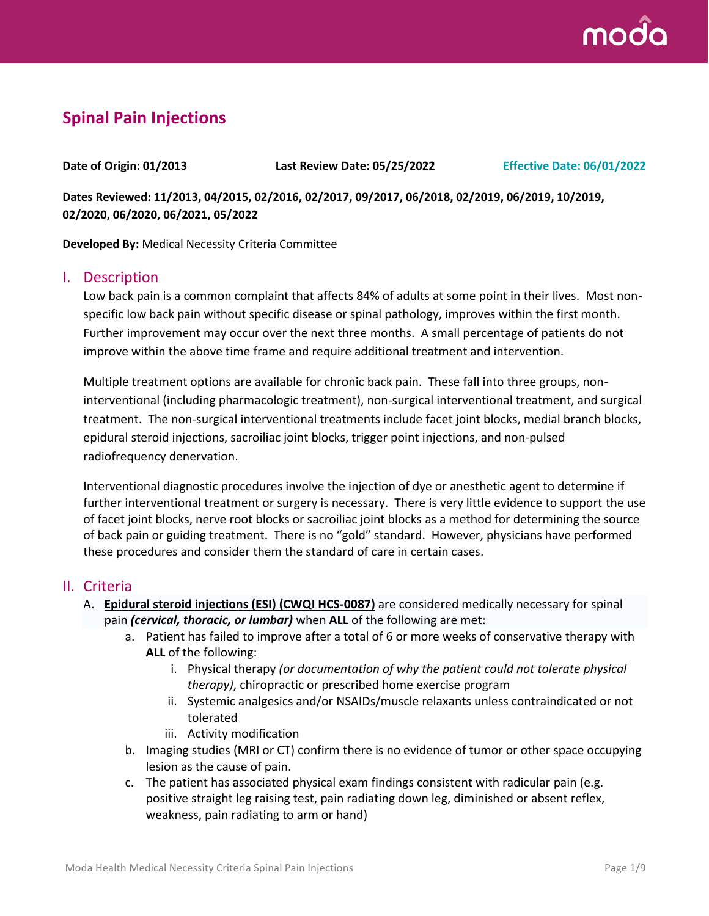

# **Spinal Pain Injections**

**Date of Origin: 01/2013 Last Review Date: 05/25/2022 Effective Date: 06/01/2022**

**Dates Reviewed: 11/2013, 04/2015, 02/2016, 02/2017, 09/2017, 06/2018, 02/2019, 06/2019, 10/2019, 02/2020, 06/2020, 06/2021, 05/2022**

**Developed By:** Medical Necessity Criteria Committee

### I. Description

Low back pain is a common complaint that affects 84% of adults at some point in their lives. Most nonspecific low back pain without specific disease or spinal pathology, improves within the first month. Further improvement may occur over the next three months. A small percentage of patients do not improve within the above time frame and require additional treatment and intervention.

Multiple treatment options are available for chronic back pain. These fall into three groups, noninterventional (including pharmacologic treatment), non-surgical interventional treatment, and surgical treatment. The non-surgical interventional treatments include facet joint blocks, medial branch blocks, epidural steroid injections, sacroiliac joint blocks, trigger point injections, and non-pulsed radiofrequency denervation.

Interventional diagnostic procedures involve the injection of dye or anesthetic agent to determine if further interventional treatment or surgery is necessary. There is very little evidence to support the use of facet joint blocks, nerve root blocks or sacroiliac joint blocks as a method for determining the source of back pain or guiding treatment. There is no "gold" standard. However, physicians have performed these procedures and consider them the standard of care in certain cases.

### II. Criteria

- A. **Epidural steroid injections (ESI) (CWQI HCS-0087)** are considered medically necessary for spinal pain *(cervical, thoracic, or lumbar)* when **ALL** of the following are met:
	- a. Patient has failed to improve after a total of 6 or more weeks of conservative therapy with **ALL** of the following:
		- i. Physical therapy *(or documentation of why the patient could not tolerate physical therapy)*, chiropractic or prescribed home exercise program
		- ii. Systemic analgesics and/or NSAIDs/muscle relaxants unless contraindicated or not tolerated
		- iii. Activity modification
	- b. Imaging studies (MRI or CT) confirm there is no evidence of tumor or other space occupying lesion as the cause of pain.
	- c. The patient has associated physical exam findings consistent with radicular pain (e.g. positive straight leg raising test, pain radiating down leg, diminished or absent reflex, weakness, pain radiating to arm or hand)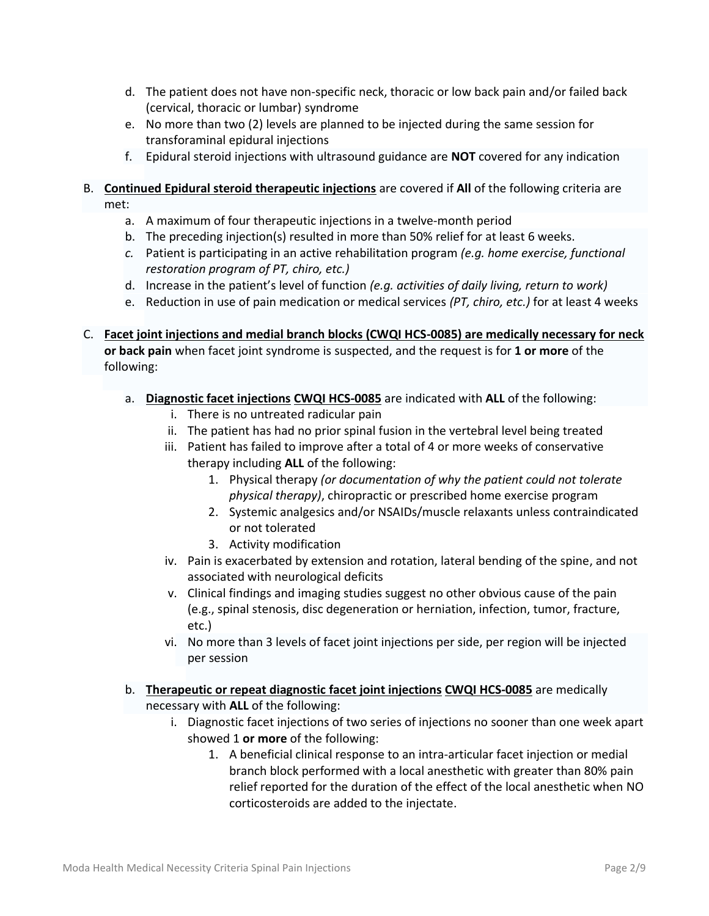- d. The patient does not have non-specific neck, thoracic or low back pain and/or failed back (cervical, thoracic or lumbar) syndrome
- e. No more than two (2) levels are planned to be injected during the same session for transforaminal epidural injections
- f. Epidural steroid injections with ultrasound guidance are **NOT** covered for any indication
- B. **Continued Epidural steroid therapeutic injections** are covered if **All** of the following criteria are met:
	- a. A maximum of four therapeutic injections in a twelve-month period
	- b. The preceding injection(s) resulted in more than 50% relief for at least 6 weeks.
	- *c.* Patient is participating in an active rehabilitation program *(e.g. home exercise, functional restoration program of PT, chiro, etc.)*
	- d. Increase in the patient's level of function *(e.g. activities of daily living, return to work)*
	- e. Reduction in use of pain medication or medical services *(PT, chiro, etc.)* for at least 4 weeks
- C. **Facet joint injections and medial branch blocks (CWQI HCS-0085) are medically necessary for neck or back pain** when facet joint syndrome is suspected, and the request is for **1 or more** of the following:
	- a. **Diagnostic facet injections CWQI HCS-0085** are indicated with **ALL** of the following:
		- i. There is no untreated radicular pain
		- ii. The patient has had no prior spinal fusion in the vertebral level being treated
		- iii. Patient has failed to improve after a total of 4 or more weeks of conservative therapy including **ALL** of the following:
			- 1. Physical therapy *(or documentation of why the patient could not tolerate physical therapy)*, chiropractic or prescribed home exercise program
			- 2. Systemic analgesics and/or NSAIDs/muscle relaxants unless contraindicated or not tolerated
			- 3. Activity modification
		- iv. Pain is exacerbated by extension and rotation, lateral bending of the spine, and not associated with neurological deficits
		- v. Clinical findings and imaging studies suggest no other obvious cause of the pain (e.g., spinal stenosis, disc degeneration or herniation, infection, tumor, fracture, etc.)
		- vi. No more than 3 levels of facet joint injections per side, per region will be injected per session
	- b. **Therapeutic or repeat diagnostic facet joint injections CWQI HCS-0085** are medically necessary with **ALL** of the following:
		- i. Diagnostic facet injections of two series of injections no sooner than one week apart showed 1 **or more** of the following:
			- 1. A beneficial clinical response to an intra-articular facet injection or medial branch block performed with a local anesthetic with greater than 80% pain relief reported for the duration of the effect of the local anesthetic when NO corticosteroids are added to the injectate.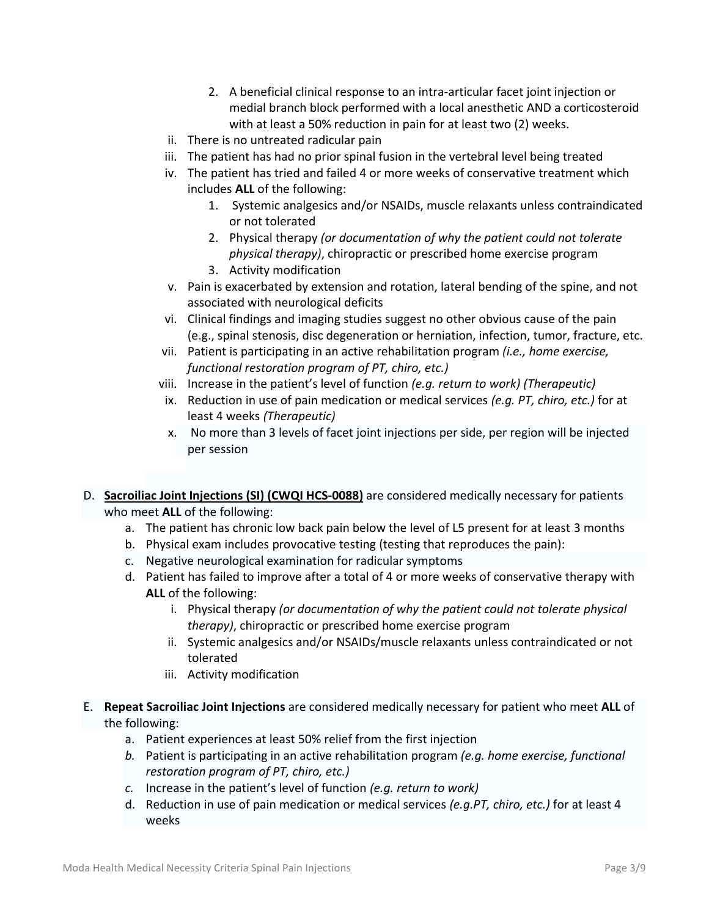- 2. A beneficial clinical response to an intra-articular facet joint injection or medial branch block performed with a local anesthetic AND a corticosteroid with at least a 50% reduction in pain for at least two (2) weeks.
- ii. There is no untreated radicular pain
- iii. The patient has had no prior spinal fusion in the vertebral level being treated
- iv. The patient has tried and failed 4 or more weeks of conservative treatment which includes **ALL** of the following:
	- 1. Systemic analgesics and/or NSAIDs, muscle relaxants unless contraindicated or not tolerated
	- 2. Physical therapy *(or documentation of why the patient could not tolerate physical therapy)*, chiropractic or prescribed home exercise program
	- 3. Activity modification
- v. Pain is exacerbated by extension and rotation, lateral bending of the spine, and not associated with neurological deficits
- vi. Clinical findings and imaging studies suggest no other obvious cause of the pain (e.g., spinal stenosis, disc degeneration or herniation, infection, tumor, fracture, etc.
- vii. Patient is participating in an active rehabilitation program *(i.e., home exercise, functional restoration program of PT, chiro, etc.)*
- viii. Increase in the patient's level of function *(e.g. return to work) (Therapeutic)*
- ix. Reduction in use of pain medication or medical services *(e.g. PT, chiro, etc.)* for at least 4 weeks *(Therapeutic)*
- x. No more than 3 levels of facet joint injections per side, per region will be injected per session
- D. **Sacroiliac Joint Injections (SI) (CWQI HCS-0088)** are considered medically necessary for patients who meet **ALL** of the following:
	- a. The patient has chronic low back pain below the level of L5 present for at least 3 months
	- b. Physical exam includes provocative testing (testing that reproduces the pain):
	- c. Negative neurological examination for radicular symptoms
	- d. Patient has failed to improve after a total of 4 or more weeks of conservative therapy with **ALL** of the following:
		- i. Physical therapy *(or documentation of why the patient could not tolerate physical therapy)*, chiropractic or prescribed home exercise program
		- ii. Systemic analgesics and/or NSAIDs/muscle relaxants unless contraindicated or not tolerated
		- iii. Activity modification
- E. **Repeat Sacroiliac Joint Injections** are considered medically necessary for patient who meet **ALL** of the following:
	- a. Patient experiences at least 50% relief from the first injection
	- *b.* Patient is participating in an active rehabilitation program *(e.g. home exercise, functional restoration program of PT, chiro, etc.)*
	- *c.* Increase in the patient's level of function *(e.g. return to work)*
	- d. Reduction in use of pain medication or medical services *(e.g.PT, chiro, etc.)* for at least 4 weeks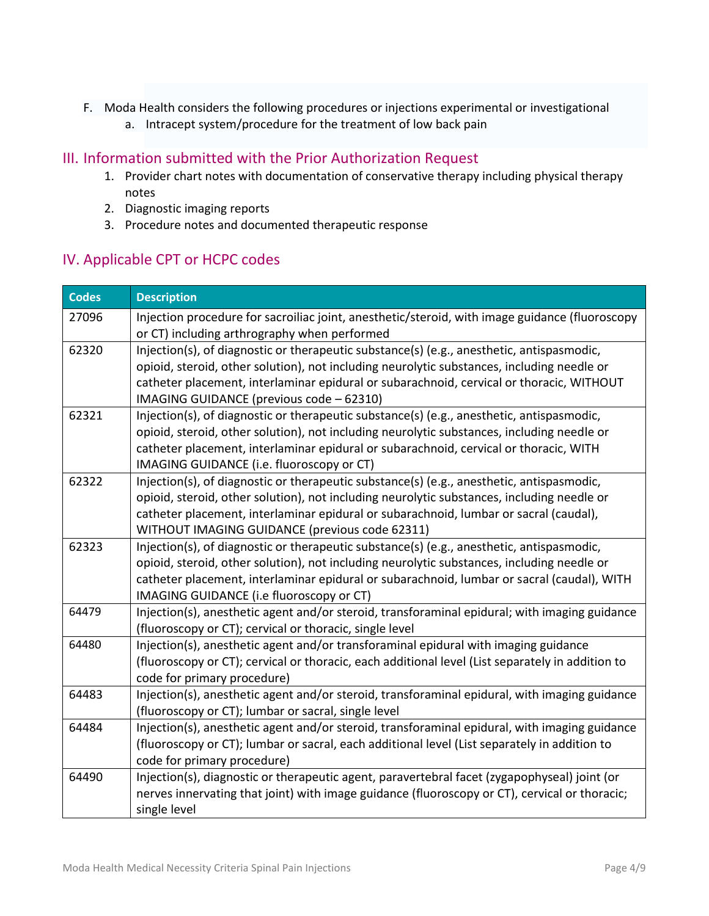- F. Moda Health considers the following procedures or injections experimental or investigational
	- a. Intracept system/procedure for the treatment of low back pain

### III. Information submitted with the Prior Authorization Request

- 1. Provider chart notes with documentation of conservative therapy including physical therapy notes
- 2. Diagnostic imaging reports
- 3. Procedure notes and documented therapeutic response

## IV. Applicable CPT or HCPC codes

| <b>Codes</b> | <b>Description</b>                                                                                                                                                                                                                                                                                                                 |
|--------------|------------------------------------------------------------------------------------------------------------------------------------------------------------------------------------------------------------------------------------------------------------------------------------------------------------------------------------|
| 27096        | Injection procedure for sacroiliac joint, anesthetic/steroid, with image guidance (fluoroscopy<br>or CT) including arthrography when performed                                                                                                                                                                                     |
| 62320        | Injection(s), of diagnostic or therapeutic substance(s) (e.g., anesthetic, antispasmodic,<br>opioid, steroid, other solution), not including neurolytic substances, including needle or<br>catheter placement, interlaminar epidural or subarachnoid, cervical or thoracic, WITHOUT<br>IMAGING GUIDANCE (previous code - 62310)    |
| 62321        | Injection(s), of diagnostic or therapeutic substance(s) (e.g., anesthetic, antispasmodic,<br>opioid, steroid, other solution), not including neurolytic substances, including needle or<br>catheter placement, interlaminar epidural or subarachnoid, cervical or thoracic, WITH<br>IMAGING GUIDANCE (i.e. fluoroscopy or CT)      |
| 62322        | Injection(s), of diagnostic or therapeutic substance(s) (e.g., anesthetic, antispasmodic,<br>opioid, steroid, other solution), not including neurolytic substances, including needle or<br>catheter placement, interlaminar epidural or subarachnoid, lumbar or sacral (caudal),<br>WITHOUT IMAGING GUIDANCE (previous code 62311) |
| 62323        | Injection(s), of diagnostic or therapeutic substance(s) (e.g., anesthetic, antispasmodic,<br>opioid, steroid, other solution), not including neurolytic substances, including needle or<br>catheter placement, interlaminar epidural or subarachnoid, lumbar or sacral (caudal), WITH<br>IMAGING GUIDANCE (i.e fluoroscopy or CT)  |
| 64479        | Injection(s), anesthetic agent and/or steroid, transforaminal epidural; with imaging guidance<br>(fluoroscopy or CT); cervical or thoracic, single level                                                                                                                                                                           |
| 64480        | Injection(s), anesthetic agent and/or transforaminal epidural with imaging guidance<br>(fluoroscopy or CT); cervical or thoracic, each additional level (List separately in addition to<br>code for primary procedure)                                                                                                             |
| 64483        | Injection(s), anesthetic agent and/or steroid, transforaminal epidural, with imaging guidance<br>(fluoroscopy or CT); lumbar or sacral, single level                                                                                                                                                                               |
| 64484        | Injection(s), anesthetic agent and/or steroid, transforaminal epidural, with imaging guidance<br>(fluoroscopy or CT); lumbar or sacral, each additional level (List separately in addition to<br>code for primary procedure)                                                                                                       |
| 64490        | Injection(s), diagnostic or therapeutic agent, paravertebral facet (zygapophyseal) joint (or<br>nerves innervating that joint) with image guidance (fluoroscopy or CT), cervical or thoracic;<br>single level                                                                                                                      |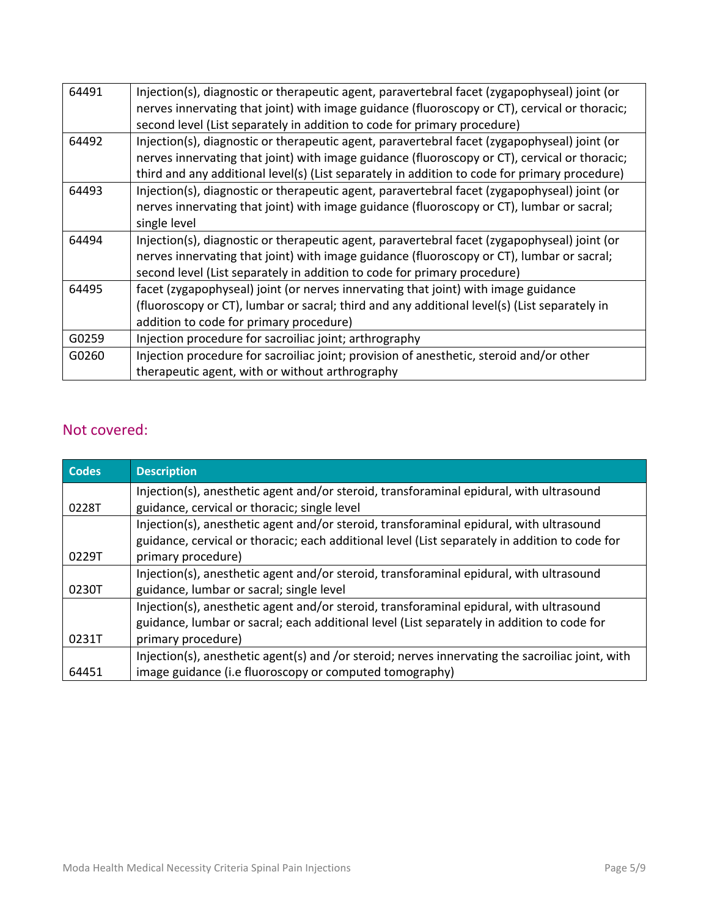| 64491 | Injection(s), diagnostic or therapeutic agent, paravertebral facet (zygapophyseal) joint (or  |
|-------|-----------------------------------------------------------------------------------------------|
|       | nerves innervating that joint) with image guidance (fluoroscopy or CT), cervical or thoracic; |
|       | second level (List separately in addition to code for primary procedure)                      |
| 64492 | Injection(s), diagnostic or therapeutic agent, paravertebral facet (zygapophyseal) joint (or  |
|       | nerves innervating that joint) with image guidance (fluoroscopy or CT), cervical or thoracic; |
|       | third and any additional level(s) (List separately in addition to code for primary procedure) |
| 64493 | Injection(s), diagnostic or therapeutic agent, paravertebral facet (zygapophyseal) joint (or  |
|       | nerves innervating that joint) with image guidance (fluoroscopy or CT), lumbar or sacral;     |
|       | single level                                                                                  |
| 64494 | Injection(s), diagnostic or therapeutic agent, paravertebral facet (zygapophyseal) joint (or  |
|       | nerves innervating that joint) with image guidance (fluoroscopy or CT), lumbar or sacral;     |
|       | second level (List separately in addition to code for primary procedure)                      |
| 64495 | facet (zygapophyseal) joint (or nerves innervating that joint) with image guidance            |
|       | (fluoroscopy or CT), lumbar or sacral; third and any additional level(s) (List separately in  |
|       | addition to code for primary procedure)                                                       |
| G0259 | Injection procedure for sacroiliac joint; arthrography                                        |
| G0260 | Injection procedure for sacroiliac joint; provision of anesthetic, steroid and/or other       |
|       | therapeutic agent, with or without arthrography                                               |
|       |                                                                                               |

## Not covered:

| <b>Codes</b> | <b>Description</b>                                                                               |
|--------------|--------------------------------------------------------------------------------------------------|
|              | Injection(s), anesthetic agent and/or steroid, transforaminal epidural, with ultrasound          |
| 0228T        | guidance, cervical or thoracic; single level                                                     |
|              | Injection(s), anesthetic agent and/or steroid, transforaminal epidural, with ultrasound          |
|              | guidance, cervical or thoracic; each additional level (List separately in addition to code for   |
| 0229T        | primary procedure)                                                                               |
|              | Injection(s), anesthetic agent and/or steroid, transforaminal epidural, with ultrasound          |
| 0230T        | guidance, lumbar or sacral; single level                                                         |
|              | Injection(s), anesthetic agent and/or steroid, transforaminal epidural, with ultrasound          |
|              | guidance, lumbar or sacral; each additional level (List separately in addition to code for       |
| 0231T        | primary procedure)                                                                               |
|              | Injection(s), anesthetic agent(s) and /or steroid; nerves innervating the sacroiliac joint, with |
| 64451        | image guidance (i.e fluoroscopy or computed tomography)                                          |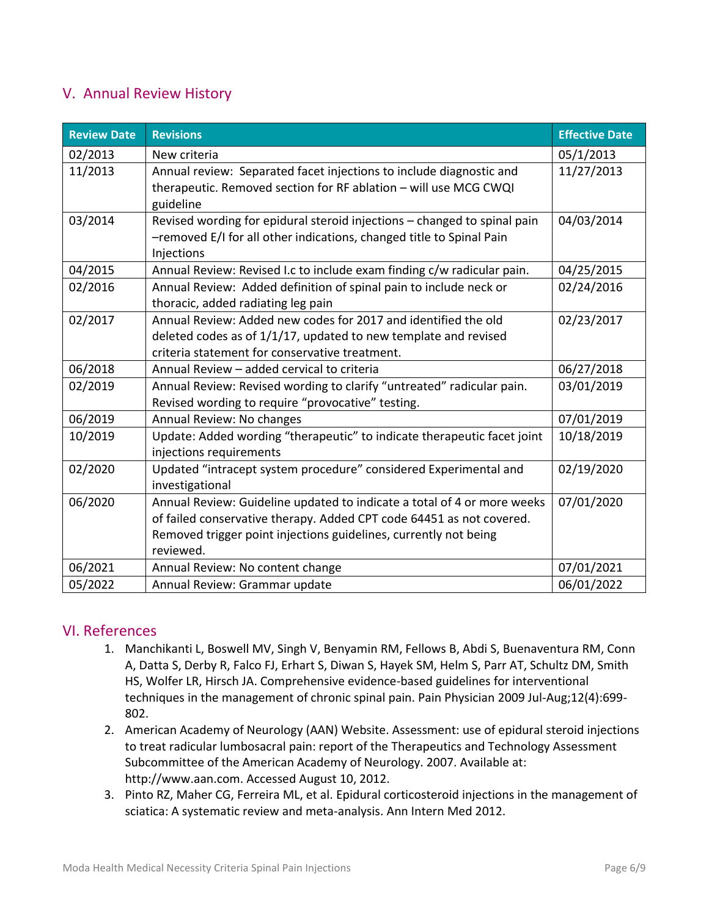## V. Annual Review History

| <b>Review Date</b> | <b>Revisions</b>                                                                                                                                                                                                                 | <b>Effective Date</b> |
|--------------------|----------------------------------------------------------------------------------------------------------------------------------------------------------------------------------------------------------------------------------|-----------------------|
| 02/2013            | New criteria                                                                                                                                                                                                                     | 05/1/2013             |
| 11/2013            | Annual review: Separated facet injections to include diagnostic and<br>therapeutic. Removed section for RF ablation - will use MCG CWQI<br>guideline                                                                             | 11/27/2013            |
| 03/2014            | Revised wording for epidural steroid injections - changed to spinal pain<br>-removed E/I for all other indications, changed title to Spinal Pain<br>Injections                                                                   | 04/03/2014            |
| 04/2015            | Annual Review: Revised I.c to include exam finding c/w radicular pain.                                                                                                                                                           | 04/25/2015            |
| 02/2016            | Annual Review: Added definition of spinal pain to include neck or<br>thoracic, added radiating leg pain                                                                                                                          | 02/24/2016            |
| 02/2017            | Annual Review: Added new codes for 2017 and identified the old<br>deleted codes as of 1/1/17, updated to new template and revised<br>criteria statement for conservative treatment.                                              | 02/23/2017            |
| 06/2018            | Annual Review - added cervical to criteria                                                                                                                                                                                       | 06/27/2018            |
| 02/2019            | Annual Review: Revised wording to clarify "untreated" radicular pain.<br>Revised wording to require "provocative" testing.                                                                                                       | 03/01/2019            |
| 06/2019            | Annual Review: No changes                                                                                                                                                                                                        | 07/01/2019            |
| 10/2019            | Update: Added wording "therapeutic" to indicate therapeutic facet joint<br>injections requirements                                                                                                                               | 10/18/2019            |
| 02/2020            | Updated "intracept system procedure" considered Experimental and<br>investigational                                                                                                                                              | 02/19/2020            |
| 06/2020            | Annual Review: Guideline updated to indicate a total of 4 or more weeks<br>of failed conservative therapy. Added CPT code 64451 as not covered.<br>Removed trigger point injections guidelines, currently not being<br>reviewed. | 07/01/2020            |
| 06/2021            | Annual Review: No content change                                                                                                                                                                                                 | 07/01/2021            |
| 05/2022            | Annual Review: Grammar update                                                                                                                                                                                                    | 06/01/2022            |

### VI. References

- 1. Manchikanti L, Boswell MV, Singh V, Benyamin RM, Fellows B, Abdi S, Buenaventura RM, Conn A, Datta S, Derby R, Falco FJ, Erhart S, Diwan S, Hayek SM, Helm S, Parr AT, Schultz DM, Smith HS, Wolfer LR, Hirsch JA. Comprehensive evidence-based guidelines for interventional techniques in the management of chronic spinal pain. Pain Physician 2009 Jul-Aug;12(4):699- 802.
- 2. American Academy of Neurology (AAN) Website. Assessment: use of epidural steroid injections to treat radicular lumbosacral pain: report of the Therapeutics and Technology Assessment Subcommittee of the American Academy of Neurology. 2007. Available at: http://www.aan.com. Accessed August 10, 2012.
- 3. Pinto RZ, Maher CG, Ferreira ML, et al. Epidural [corticosteroid injections in the management of](http://www.uptodate.com/contents/treatment-of-acute-low-back-pain/abstract/88)  [sciatica: A systematic review and meta-analysis. Ann Intern Med 2012.](http://www.uptodate.com/contents/treatment-of-acute-low-back-pain/abstract/88)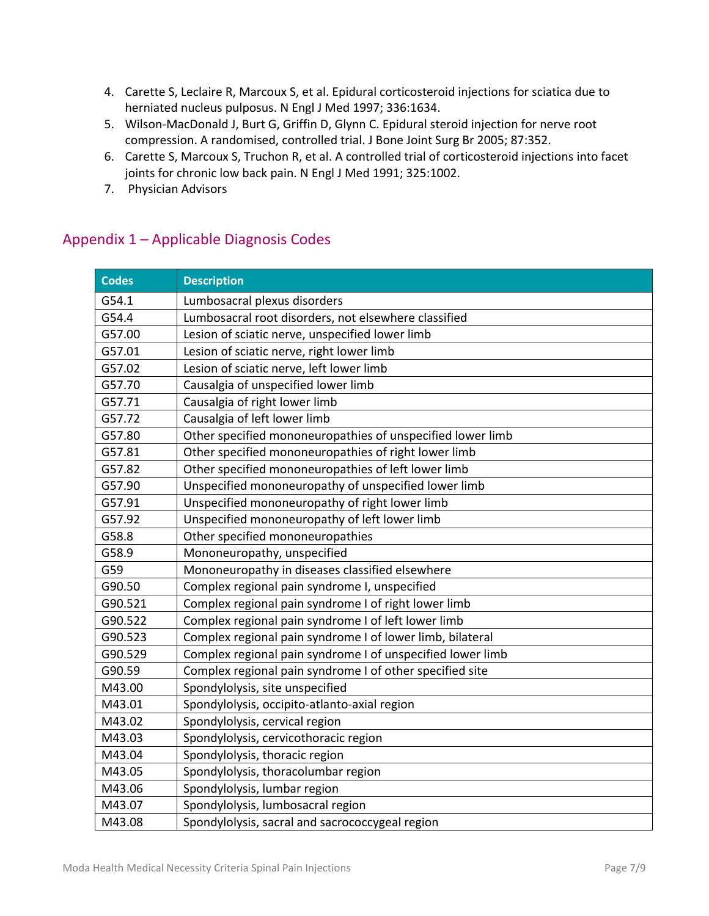- 4. [Carette S, Leclaire R, Marcoux S, et al. Epidural corticosteroid injections for sciatica due to](http://www.uptodate.com/contents/treatment-of-acute-low-back-pain/abstract/89)  [herniated nucleus pulposus. N Engl J Med 1997; 336:1634.](http://www.uptodate.com/contents/treatment-of-acute-low-back-pain/abstract/89)
- 5. [Wilson-MacDonald J, Burt G, Griffin D, Glynn C. Epidural steroid injection for nerve root](http://www.uptodate.com/contents/treatment-of-acute-low-back-pain/abstract/90)  [compression. A randomised, controlled trial. J Bone Joint Surg Br 2005; 87:352.](http://www.uptodate.com/contents/treatment-of-acute-low-back-pain/abstract/90)
- 6. [Carette S, Marcoux S, Truchon R, et al. A controlled trial of corticosteroid injections into facet](http://www.uptodate.com/contents/treatment-of-acute-low-back-pain/abstract/91)  [joints for chronic low back pain. N Engl J Med 1991; 325:1002.](http://www.uptodate.com/contents/treatment-of-acute-low-back-pain/abstract/91)
- 7. Physician Advisors

| Codes   | <b>Description</b>                                         |
|---------|------------------------------------------------------------|
| G54.1   | Lumbosacral plexus disorders                               |
| G54.4   | Lumbosacral root disorders, not elsewhere classified       |
| G57.00  | Lesion of sciatic nerve, unspecified lower limb            |
| G57.01  | Lesion of sciatic nerve, right lower limb                  |
| G57.02  | Lesion of sciatic nerve, left lower limb                   |
| G57.70  | Causalgia of unspecified lower limb                        |
| G57.71  | Causalgia of right lower limb                              |
| G57.72  | Causalgia of left lower limb                               |
| G57.80  | Other specified mononeuropathies of unspecified lower limb |
| G57.81  | Other specified mononeuropathies of right lower limb       |
| G57.82  | Other specified mononeuropathies of left lower limb        |
| G57.90  | Unspecified mononeuropathy of unspecified lower limb       |
| G57.91  | Unspecified mononeuropathy of right lower limb             |
| G57.92  | Unspecified mononeuropathy of left lower limb              |
| G58.8   | Other specified mononeuropathies                           |
| G58.9   | Mononeuropathy, unspecified                                |
| G59     | Mononeuropathy in diseases classified elsewhere            |
| G90.50  | Complex regional pain syndrome I, unspecified              |
| G90.521 | Complex regional pain syndrome I of right lower limb       |
| G90.522 | Complex regional pain syndrome I of left lower limb        |
| G90.523 | Complex regional pain syndrome I of lower limb, bilateral  |
| G90.529 | Complex regional pain syndrome I of unspecified lower limb |
| G90.59  | Complex regional pain syndrome I of other specified site   |
| M43.00  | Spondylolysis, site unspecified                            |
| M43.01  | Spondylolysis, occipito-atlanto-axial region               |
| M43.02  | Spondylolysis, cervical region                             |
| M43.03  | Spondylolysis, cervicothoracic region                      |
| M43.04  | Spondylolysis, thoracic region                             |
| M43.05  | Spondylolysis, thoracolumbar region                        |
| M43.06  | Spondylolysis, lumbar region                               |
| M43.07  | Spondylolysis, lumbosacral region                          |
| M43.08  | Spondylolysis, sacral and sacrococcygeal region            |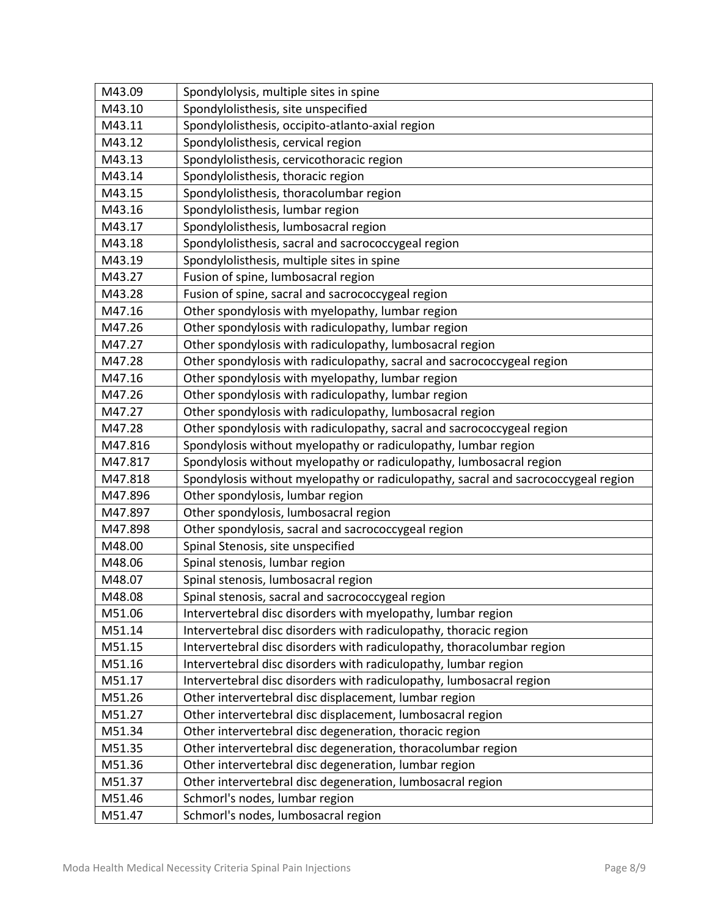| M43.09  | Spondylolysis, multiple sites in spine                                            |
|---------|-----------------------------------------------------------------------------------|
| M43.10  | Spondylolisthesis, site unspecified                                               |
| M43.11  | Spondylolisthesis, occipito-atlanto-axial region                                  |
| M43.12  | Spondylolisthesis, cervical region                                                |
| M43.13  | Spondylolisthesis, cervicothoracic region                                         |
| M43.14  | Spondylolisthesis, thoracic region                                                |
| M43.15  | Spondylolisthesis, thoracolumbar region                                           |
| M43.16  | Spondylolisthesis, lumbar region                                                  |
| M43.17  | Spondylolisthesis, lumbosacral region                                             |
| M43.18  | Spondylolisthesis, sacral and sacrococcygeal region                               |
| M43.19  | Spondylolisthesis, multiple sites in spine                                        |
| M43.27  | Fusion of spine, lumbosacral region                                               |
| M43.28  | Fusion of spine, sacral and sacrococcygeal region                                 |
| M47.16  | Other spondylosis with myelopathy, lumbar region                                  |
| M47.26  | Other spondylosis with radiculopathy, lumbar region                               |
| M47.27  | Other spondylosis with radiculopathy, lumbosacral region                          |
| M47.28  | Other spondylosis with radiculopathy, sacral and sacrococcygeal region            |
| M47.16  | Other spondylosis with myelopathy, lumbar region                                  |
| M47.26  | Other spondylosis with radiculopathy, lumbar region                               |
| M47.27  | Other spondylosis with radiculopathy, lumbosacral region                          |
| M47.28  | Other spondylosis with radiculopathy, sacral and sacrococcygeal region            |
| M47.816 | Spondylosis without myelopathy or radiculopathy, lumbar region                    |
| M47.817 | Spondylosis without myelopathy or radiculopathy, lumbosacral region               |
| M47.818 | Spondylosis without myelopathy or radiculopathy, sacral and sacrococcygeal region |
| M47.896 | Other spondylosis, lumbar region                                                  |
| M47.897 | Other spondylosis, lumbosacral region                                             |
|         |                                                                                   |
| M47.898 | Other spondylosis, sacral and sacrococcygeal region                               |
| M48.00  | Spinal Stenosis, site unspecified                                                 |
| M48.06  | Spinal stenosis, lumbar region                                                    |
| M48.07  | Spinal stenosis, lumbosacral region                                               |
| M48.08  | Spinal stenosis, sacral and sacrococcygeal region                                 |
| M51.06  | Intervertebral disc disorders with myelopathy, lumbar region                      |
| M51.14  | Intervertebral disc disorders with radiculopathy, thoracic region                 |
| M51.15  | Intervertebral disc disorders with radiculopathy, thoracolumbar region            |
| M51.16  | Intervertebral disc disorders with radiculopathy, lumbar region                   |
| M51.17  | Intervertebral disc disorders with radiculopathy, lumbosacral region              |
| M51.26  | Other intervertebral disc displacement, lumbar region                             |
| M51.27  | Other intervertebral disc displacement, lumbosacral region                        |
| M51.34  | Other intervertebral disc degeneration, thoracic region                           |
| M51.35  | Other intervertebral disc degeneration, thoracolumbar region                      |
| M51.36  | Other intervertebral disc degeneration, lumbar region                             |
| M51.37  | Other intervertebral disc degeneration, lumbosacral region                        |
| M51.46  | Schmorl's nodes, lumbar region                                                    |